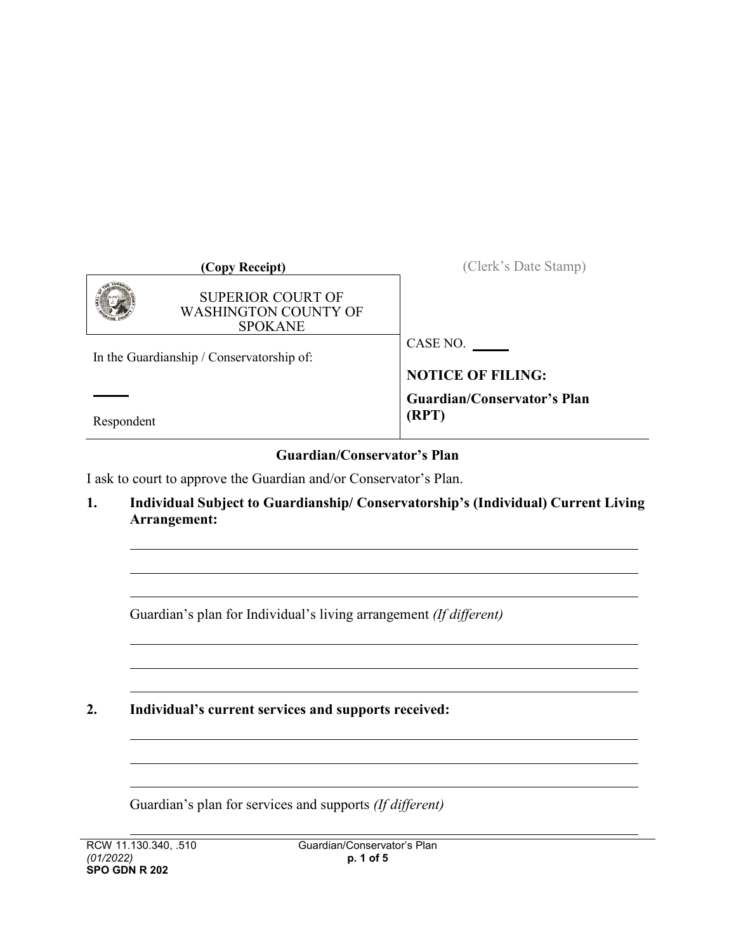| (Copy Receipt)                                                            | (Clerk's Date Stamp)               |
|---------------------------------------------------------------------------|------------------------------------|
| <b>SUPERIOR COURT OF</b><br><b>WASHINGTON COUNTY OF</b><br><b>SPOKANE</b> |                                    |
|                                                                           | CASE NO.                           |
| In the Guardianship / Conservatorship of:                                 | <b>NOTICE OF FILING:</b>           |
|                                                                           | <b>Guardian/Conservator's Plan</b> |
| Respondent                                                                | (RPT)                              |

## **Guardian/Conservator's Plan**

I ask to court to approve the Guardian and/or Conservator's Plan.

**1. Individual Subject to Guardianship/ Conservatorship's (Individual) Current Living Arrangement:**

Guardian's plan for Individual's living arrangement *(If different)*

**2. Individual's current services and supports received:**

Guardian's plan for services and supports *(If different)*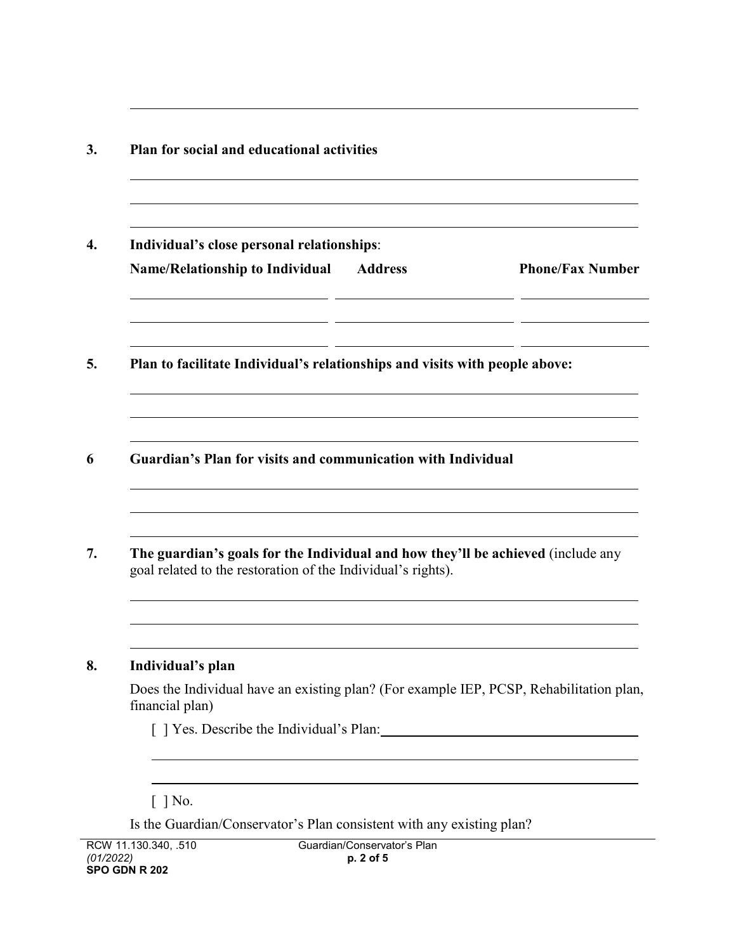| Individual's close personal relationships:                                                                                                       |                |                         |
|--------------------------------------------------------------------------------------------------------------------------------------------------|----------------|-------------------------|
| <b>Name/Relationship to Individual</b>                                                                                                           | <b>Address</b> | <b>Phone/Fax Number</b> |
| Plan to facilitate Individual's relationships and visits with people above:                                                                      |                |                         |
| Guardian's Plan for visits and communication with Individual                                                                                     |                |                         |
|                                                                                                                                                  |                |                         |
| The guardian's goals for the Individual and how they'll be achieved (include any<br>goal related to the restoration of the Individual's rights). |                |                         |
|                                                                                                                                                  |                |                         |
| Individual's plan<br>Does the Individual have an existing plan? (For example IEP, PCSP, Rehabilitation plan,<br>financial plan)                  |                |                         |

Is the Guardian/Conservator's Plan consistent with any existing plan?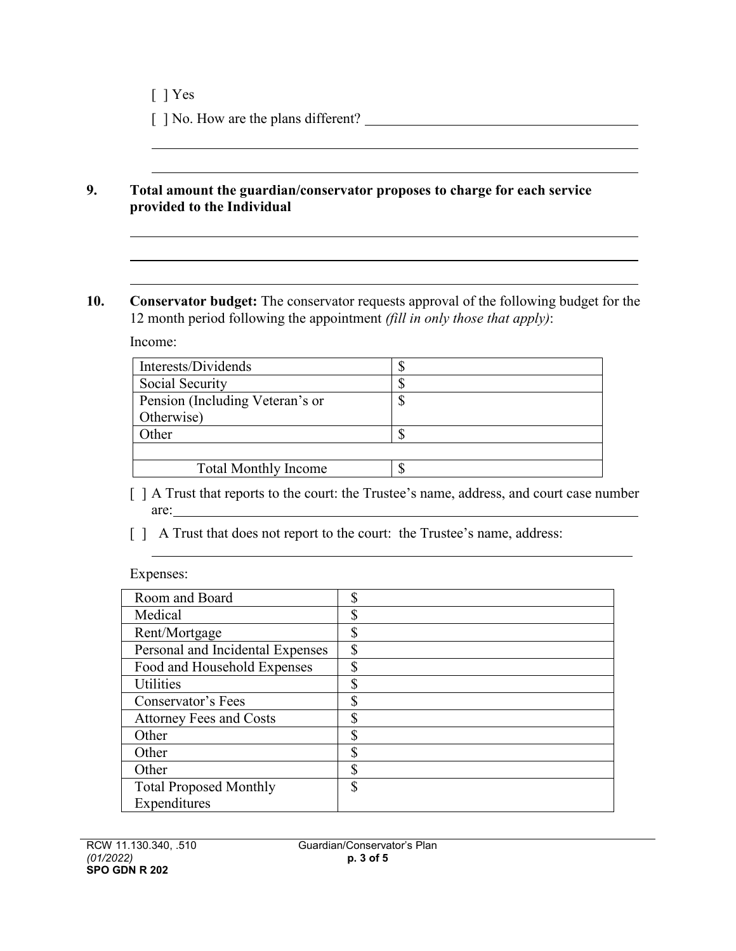[ ] No. How are the plans different?

## **9. Total amount the guardian/conservator proposes to charge for each service provided to the Individual**

**10. Conservator budget:** The conservator requests approval of the following budget for the 12 month period following the appointment *(fill in only those that apply)*:

Income:

| Interests/Dividends             | J |
|---------------------------------|---|
| Social Security                 | J |
| Pension (Including Veteran's or | Φ |
| Otherwise)                      |   |
| Other                           |   |
|                                 |   |
| <b>Total Monthly Income</b>     | Φ |

[ ] A Trust that reports to the court: the Trustee's name, address, and court case number are:

[ ] A Trust that does not report to the court: the Trustee's name, address:

Expenses:

| Room and Board                   | ¢<br>۵J.      |
|----------------------------------|---------------|
| Medical                          | \$            |
| Rent/Mortgage                    | Φ             |
| Personal and Incidental Expenses | \$            |
| Food and Household Expenses      | \$            |
| <b>Utilities</b>                 | <sup>\$</sup> |
| Conservator's Fees               | \$            |
| <b>Attorney Fees and Costs</b>   | ¢<br>۰D.      |
| Other                            | ¢             |
| Other                            | ¢             |
| Other                            | \$            |
| <b>Total Proposed Monthly</b>    | <sup>\$</sup> |
| Expenditures                     |               |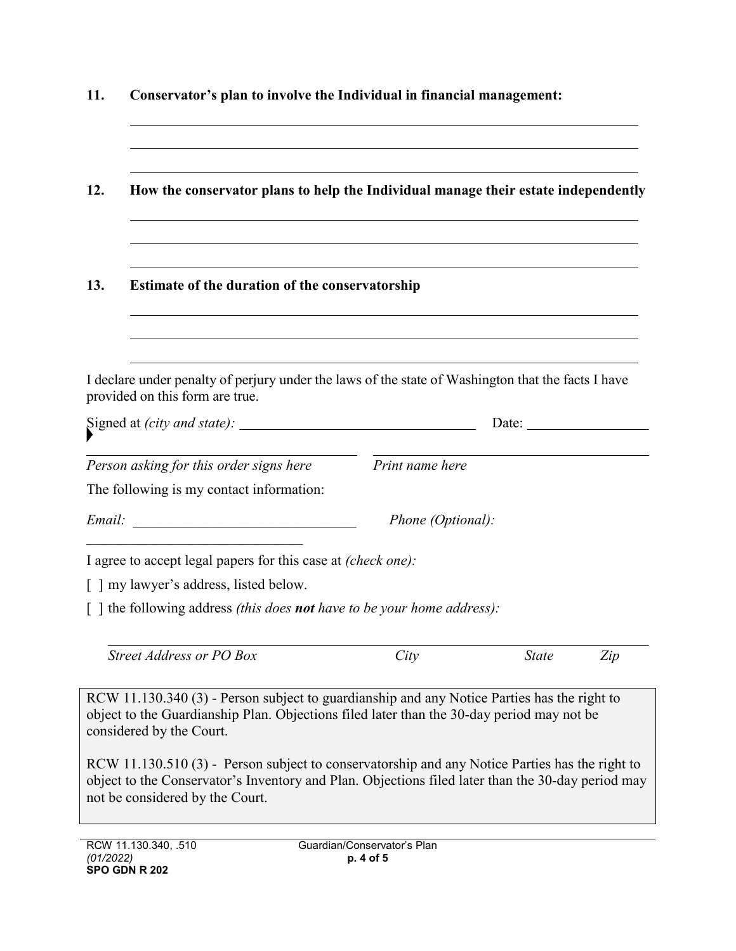| 11. | Conservator's plan to involve the Individual in financial management:<br>How the conservator plans to help the Individual manage their estate independently                                                                            |                             |              |     |  |
|-----|----------------------------------------------------------------------------------------------------------------------------------------------------------------------------------------------------------------------------------------|-----------------------------|--------------|-----|--|
| 12. |                                                                                                                                                                                                                                        |                             |              |     |  |
| 13. | <b>Estimate of the duration of the conservatorship</b>                                                                                                                                                                                 |                             |              |     |  |
|     | I declare under penalty of perjury under the laws of the state of Washington that the facts I have<br>provided on this form are true.                                                                                                  |                             |              |     |  |
|     |                                                                                                                                                                                                                                        |                             | Date:        |     |  |
|     | Person asking for this order signs here                                                                                                                                                                                                | Print name here             |              |     |  |
|     | The following is my contact information:                                                                                                                                                                                               |                             |              |     |  |
|     |                                                                                                                                                                                                                                        | Phone (Optional):           |              |     |  |
|     | I agree to accept legal papers for this case at (check one):                                                                                                                                                                           |                             |              |     |  |
|     | [] my lawyer's address, listed below.                                                                                                                                                                                                  |                             |              |     |  |
|     | [ ] the following address (this does <b>not</b> have to be your home address):                                                                                                                                                         |                             |              |     |  |
|     | Street Address or PO Box                                                                                                                                                                                                               | City                        | <b>State</b> | Zip |  |
|     | RCW 11.130.340 (3) - Person subject to guardianship and any Notice Parties has the right to<br>object to the Guardianship Plan. Objections filed later than the 30-day period may not be<br>considered by the Court.                   |                             |              |     |  |
|     | RCW 11.130.510 (3) - Person subject to conservatorship and any Notice Parties has the right to<br>object to the Conservator's Inventory and Plan. Objections filed later than the 30-day period may<br>not be considered by the Court. |                             |              |     |  |
|     | RCW 11 130 340 510                                                                                                                                                                                                                     | Guardian/Conservator's Plan |              |     |  |

 $\overline{a}$